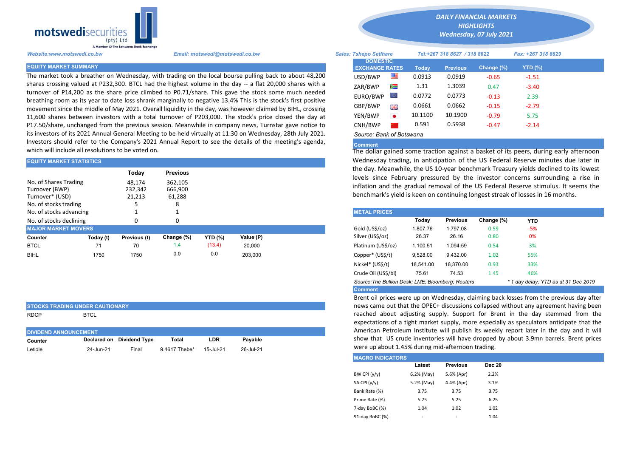

The market took a breather on Wednesday, with trading on the local bourse pulling back to about 48,200 shares crossing valued at P232,300. BTCL had the highest volume in the day -- a flat 20,000 shares with a turnover of P14,200 as the share price climbed to P0.71/share. This gave the stock some much needed breathing room as its year to date loss shrank marginally to negative 13.4% This is the stock's first positive movement since the middle of May 2021. Overall liquidity in the day, was however claimed by BIHL, crossing 11,600 shares between investors with a total turnover of P203,000. The stock's price closed the day at P17.50/share, unchanged from the previous session. Meanwhile in company news, Turnstar gave notice to its investors of its 2021 Annual General Meeting to be held virtually at 11:30 on Wednesday, 28th July 2021. Investors should refer to the Company's 2021 Annual Report to see the details of the meeting's agenda, which will include all resolutions to be voted on.

| <b>EQUITY MARKET STATISTICS</b> |           |              |                 |                | Wednesday trading, in anticipation of the US Federal Reserve minute |  |                                                                                                                                                 |                                                                                                                                         |                 |            |            |  |  |  |  |
|---------------------------------|-----------|--------------|-----------------|----------------|---------------------------------------------------------------------|--|-------------------------------------------------------------------------------------------------------------------------------------------------|-----------------------------------------------------------------------------------------------------------------------------------------|-----------------|------------|------------|--|--|--|--|
|                                 |           | Today        | <b>Previous</b> |                |                                                                     |  |                                                                                                                                                 | the day. Meanwhile, the US 10-year benchmark Treasury yields declin<br>levels since February pressured by the investor concerns surrour |                 |            |            |  |  |  |  |
| No. of Shares Trading           |           | 48.174       | 362,105         |                |                                                                     |  |                                                                                                                                                 |                                                                                                                                         |                 |            |            |  |  |  |  |
| Turnover (BWP)                  |           | 232.342      | 666,900         |                |                                                                     |  | inflation and the gradual removal of the US Federal Reserve stimulu<br>benchmark's yield is keen on continuing longest streak of losses in 16 r |                                                                                                                                         |                 |            |            |  |  |  |  |
| Turnover* (USD)                 |           | 21,213       | 61,288          |                |                                                                     |  |                                                                                                                                                 |                                                                                                                                         |                 |            |            |  |  |  |  |
| No. of stocks trading           |           |              | Ο               |                |                                                                     |  |                                                                                                                                                 |                                                                                                                                         |                 |            |            |  |  |  |  |
| No. of stocks advancing         |           |              |                 |                |                                                                     |  | <b>METAL PRICES</b>                                                                                                                             |                                                                                                                                         |                 |            |            |  |  |  |  |
| No. of stocks declining         |           |              | O               |                |                                                                     |  |                                                                                                                                                 | Today                                                                                                                                   | <b>Previous</b> | Change (%) | <b>YTD</b> |  |  |  |  |
| <b>MAJOR MARKET MOVERS</b>      |           |              |                 |                |                                                                     |  | Gold (US\$/oz)                                                                                                                                  | 1.807.76                                                                                                                                | 1.797.08        | 0.59       | $-5%$      |  |  |  |  |
| Counter                         | Today (t) | Previous (t) | Change (%)      | <b>YTD (%)</b> | Value (P)                                                           |  | Silver (US\$/oz)                                                                                                                                | 26.37                                                                                                                                   | 26.16           | 0.80       | 0%         |  |  |  |  |
| <b>BTCL</b>                     | 71        | 70           | 1.4             | (13.4)         | 20,000                                                              |  | Platinum (US\$/oz)                                                                                                                              | 1,100.51                                                                                                                                | 1.094.59        | 0.54       | 3%         |  |  |  |  |
| <b>BIHL</b>                     | 1750      | 1750         | 0.0             | 0.0            | 203.000                                                             |  | Copper* (US\$/t)                                                                                                                                | 9,528.00                                                                                                                                | 9,432.00        | 1.02       | 55%        |  |  |  |  |
|                                 |           |              |                 |                |                                                                     |  |                                                                                                                                                 |                                                                                                                                         |                 |            |            |  |  |  |  |

| <b>STOCKS TRADING UNDER CAUTIONARY</b> |             |  |  |  |  |  |  |  |  |
|----------------------------------------|-------------|--|--|--|--|--|--|--|--|
| RDCP                                   | <b>BTCL</b> |  |  |  |  |  |  |  |  |

| <b>DIVIDEND ANNOUNCEMENT</b> |           |                           |               |           |           |  |  |  |  |  |
|------------------------------|-----------|---------------------------|---------------|-----------|-----------|--|--|--|--|--|
| Counter                      |           | Declared on Dividend Type | Total         | LDR       | Pavable   |  |  |  |  |  |
| Letlole                      | 24-Jun-21 | Final                     | 9.4617 Thebe* | 15-Jul-21 | 26-Jul-21 |  |  |  |  |  |

*DAILY FINANCIAL MARKETS*

*HIGHLIGHTS Wednesday, 07 July 2021* 

| A Member Of The Botswana Stock Exchange |                                                                                                                                                                                                                       |                                          |           |                              |                 |            |                    |  |
|-----------------------------------------|-----------------------------------------------------------------------------------------------------------------------------------------------------------------------------------------------------------------------|------------------------------------------|-----------|------------------------------|-----------------|------------|--------------------|--|
| Website:www.motswedi.co.bw              | Email: motswedi@motswedi.co.bw                                                                                                                                                                                        | <b>Sales: Tshepo Setlhare</b>            |           | Tel:+267 318 8627 / 318 8622 |                 |            | Fax: +267 318 8629 |  |
| <b>EQUITY MARKET SUMMARY</b>            |                                                                                                                                                                                                                       | <b>DOMESTIC</b><br><b>EXCHANGE RATES</b> |           | Today                        | <b>Previous</b> | Change (%) | YTD $(\%)$         |  |
|                                         | The market took a breather on Wednesday, with trading on the local bourse pulling back to about 48,200                                                                                                                | USD/BWP                                  | ≝         | 0.0913                       | 0.0919          | $-0.65$    | $-1.51$            |  |
|                                         | shares crossing valued at P232,300. BTCL had the highest volume in the day -- a flat 20,000 shares with a                                                                                                             | ZAR/BWP                                  | Ň         | 1.31                         | 1.3039          | 0.47       | $-3.40$            |  |
|                                         | turnover of P14,200 as the share price climbed to P0.71/share. This gave the stock some much needed<br>breathing room as its year to date loss shrank marginally to negative 13.4% This is the stock's first positive | EURO/BWP                                 | LO.       | 0.0772                       | 0.0773          | $-0.13$    | 2.39               |  |
|                                         | movement since the middle of May 2021. Overall liquidity in the day, was however claimed by BIHL, crossing                                                                                                            | GBP/BWP                                  | 꾥뽍        | 0.0661                       | 0.0662          | $-0.15$    | $-2.79$            |  |
|                                         | 11,600 shares between investors with a total turnover of P203,000. The stock's price closed the day at                                                                                                                | YEN/BWP                                  | $\bullet$ | 10.1100                      | 10.1900         | $-0.79$    | 5.75               |  |
|                                         | P17.50/share, unchanged from the previous session. Meanwhile in company news, Turnstar gave notice to                                                                                                                 | CNH/BWP                                  |           | 0.591                        | 0.5938          | $-0.47$    | $-2.14$            |  |
|                                         | its investors of its 2021 Annual General Meeting to be held virtually at 11:30 on Wednesday, 28th July 2021.                                                                                                          | Source: Bank of Botswana                 |           |                              |                 |            |                    |  |

## Comment

The dollar gained some traction against a basket of its peers, during early afternoon Wednesday trading, in anticipation of the US Federal Reserve minutes due later in the day. Meanwhile, the US 10-year benchmark Treasury yields declined to its lowest levels since February pressured by the investor concerns surrounding a rise in inflation and the gradual removal of the US Federal Reserve stimulus. It seems the benchmark's yield is keen on continuing longest streak of losses in 16 months.

| <b>METAL PRICES</b>                                                                       |           |                 |            |       |  |  |  |  |  |
|-------------------------------------------------------------------------------------------|-----------|-----------------|------------|-------|--|--|--|--|--|
|                                                                                           | Today     | <b>Previous</b> | Change (%) | YTD   |  |  |  |  |  |
| Gold (US\$/oz)                                                                            | 1.807.76  | 1.797.08        | 0.59       | $-5%$ |  |  |  |  |  |
| Silver (US\$/oz)                                                                          | 26.37     | 26.16           | 0.80       | 0%    |  |  |  |  |  |
| Platinum (US\$/oz)                                                                        | 1.100.51  | 1.094.59        | 0.54       | 3%    |  |  |  |  |  |
| Copper* (US\$/t)                                                                          | 9.528.00  | 9.432.00        | 1.02       | 55%   |  |  |  |  |  |
| Nickel* (US\$/t)                                                                          | 18.541.00 | 18.370.00       | 0.93       | 33%   |  |  |  |  |  |
| Crude Oil (US\$/bl)                                                                       | 75.61     | 74.53           | 1.45       | 46%   |  |  |  |  |  |
| Source: The Bullion Desk: LME: Bloomberg: Reuters<br>* 1 day delay, YTD as at 31 Dec 2019 |           |                 |            |       |  |  |  |  |  |
| <b>Comment</b>                                                                            |           |                 |            |       |  |  |  |  |  |

Brent oil prices were up on Wednesday, claiming back losses from the previous day after news came out that the OPEC+ discussions collapsed without any agreement having been reached about adjusting supply. Support for Brent in the day stemmed from the expectations of a tight market supply, more especially as speculators anticipate that the American Petroleum Institute will publish its weekly report later in the day and it will show that US crude inventories will have dropped by about 3.9mn barrels. Brent prices were up about 1.45% during mid-afternoon trading.

| <b>MACRO INDICATORS</b> |            |                          |               |  |  |  |  |  |  |
|-------------------------|------------|--------------------------|---------------|--|--|--|--|--|--|
|                         | Latest     | <b>Previous</b>          | <b>Dec 20</b> |  |  |  |  |  |  |
| BW CPI $(y/y)$          | 6.2% (May) | 5.6% (Apr)               | 2.2%          |  |  |  |  |  |  |
| SA CPI (y/y)            | 5.2% (May) | 4.4% (Apr)               | 3.1%          |  |  |  |  |  |  |
| Bank Rate (%)           | 3.75       | 3.75                     | 3.75          |  |  |  |  |  |  |
| Prime Rate (%)          | 5.25       | 5.25                     | 6.25          |  |  |  |  |  |  |
| 7-day BoBC (%)          | 1.04       | 1.02                     | 1.02          |  |  |  |  |  |  |
| 91-day BoBC (%)         | ۰          | $\overline{\phantom{m}}$ | 1.04          |  |  |  |  |  |  |